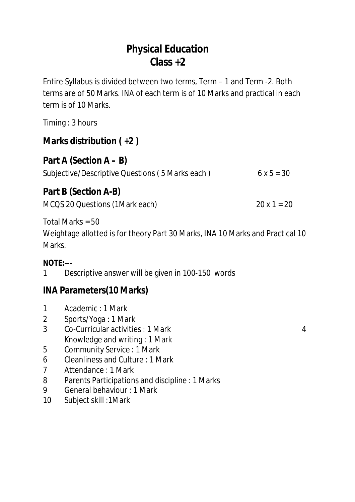# **Physical Education Class +2**

Entire Syllabus is divided between two terms, Term – 1 and Term -2. Both terms are of 50 Marks. INA of each term is of 10 Marks and practical in each term is of 10 Marks.

Timing : 3 hours

## **Marks distribution ( +2 )**

### **Part A (Section A – B)**

| Subjective/Descriptive Questions (5 Marks each) |  | $6x5 = 30$ |  |
|-------------------------------------------------|--|------------|--|
|                                                 |  |            |  |

### **Part B (Section A-B)**

MCQS 20 Questions (1Mark each) 20 x 1 = 20

Total Marks = 50

Weightage allotted is for theory Part 30 Marks, INA 10 Marks and Practical 10 Marks.

#### **NOTE:---**

1 Descriptive answer will be given in 100-150 words

## **INA Parameters(10 Marks)**

- 1 Academic : 1 Mark
- 2 Sports/Yoga : 1 Mark
- 3 Co-Curricular activities : 1 Mark 4 Knowledge and writing : 1 Mark

- 5 Community Service : 1 Mark
- 6 Cleanliness and Culture : 1 Mark
- 7 Attendance : 1 Mark
- 8 Parents Participations and discipline : 1 Marks
- 9 General behaviour : 1 Mark
- 10 Subject skill :1Mark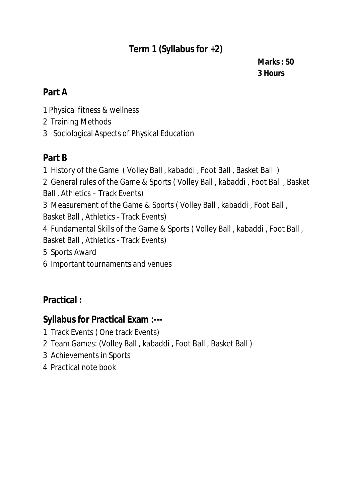## **Term 1 (Syllabus for +2)**

**Marks : 50 Hours**

### **Part A**

- Physical fitness & wellness
- Training Methods
- Sociological Aspects of Physical Education

## **Part B**

- History of the Game ( Volley Ball , kabaddi , Foot Ball , Basket Ball )
- General rules of the Game & Sports ( Volley Ball , kabaddi , Foot Ball , Basket Ball , Athletics – Track Events)
- Measurement of the Game & Sports ( Volley Ball , kabaddi , Foot Ball , Basket Ball , Athletics - Track Events)
- Fundamental Skills of the Game & Sports ( Volley Ball , kabaddi , Foot Ball , Basket Ball , Athletics - Track Events)
- Sports Award
- Important tournaments and venues

## **Practical :**

## **Syllabus for Practical Exam :---**

- Track Events ( One track Events)
- Team Games: (Volley Ball , kabaddi , Foot Ball , Basket Ball )
- Achievements in Sports
- Practical note book